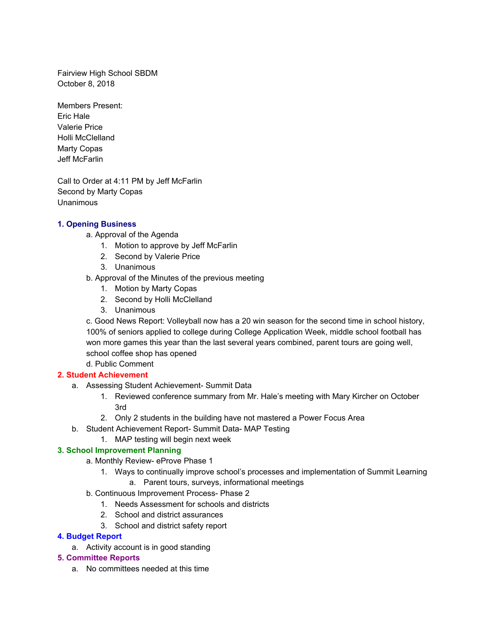Fairview High School SBDM October 8, 2018

Members Present: Eric Hale Valerie Price Holli McClelland Marty Copas Jeff McFarlin

Call to Order at 4:11 PM by Jeff McFarlin Second by Marty Copas Unanimous

## **1. Opening Business**

a. Approval of the Agenda

- 1. Motion to approve by Jeff McFarlin
- 2. Second by Valerie Price
- 3. Unanimous
- b. Approval of the Minutes of the previous meeting
	- 1. Motion by Marty Copas
	- 2. Second by Holli McClelland
	- 3. Unanimous

c. Good News Report: Volleyball now has a 20 win season for the second time in school history, 100% of seniors applied to college during College Application Week, middle school football has won more games this year than the last several years combined, parent tours are going well, school coffee shop has opened

d. Public Comment

# **2. Student Achievement**

- a. Assessing Student Achievement- Summit Data
	- 1. Reviewed conference summary from Mr. Hale's meeting with Mary Kircher on October 3rd
	- 2. Only 2 students in the building have not mastered a Power Focus Area
- b. Student Achievement Report- Summit Data- MAP Testing
	- 1. MAP testing will begin next week

# **3. School Improvement Planning**

- a. Monthly Review- eProve Phase 1
- 1. Ways to continually improve school's processes and implementation of Summit Learning
	- a. Parent tours, surveys, informational meetings
- b. Continuous Improvement Process- Phase 2
	- 1. Needs Assessment for schools and districts
	- 2. School and district assurances
	- 3. School and district safety report

# **4. Budget Report**

a. Activity account is in good standing

# **5. Committee Reports**

a. No committees needed at this time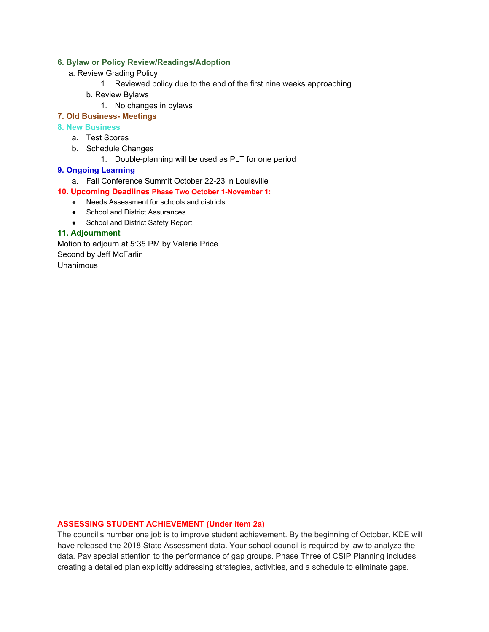## **6. Bylaw or Policy Review/Readings/Adoption**

- a. Review Grading Policy
	- 1. Reviewed policy due to the end of the first nine weeks approaching
	- b. Review Bylaws
		- 1. No changes in bylaws

### **7. Old Business- Meetings**

#### **8. New Business**

- a. Test Scores
- b. Schedule Changes
	- 1. Double-planning will be used as PLT for one period

### **9. Ongoing Learning**

a. Fall Conference Summit October 22-23 in Louisville

#### **10. Upcoming Deadlines Phase Two October 1-November 1:**

- Needs Assessment for schools and districts
- School and District Assurances
- School and District Safety Report

## **11. Adjournment**

Motion to adjourn at 5:35 PM by Valerie Price Second by Jeff McFarlin Unanimous

## **ASSESSING STUDENT ACHIEVEMENT (Under item 2a)**

The council's number one job is to improve student achievement. By the beginning of October, KDE will have released the 2018 State Assessment data. Your school council is required by law to analyze the data. Pay special attention to the performance of gap groups. Phase Three of CSIP Planning includes creating a detailed plan explicitly addressing strategies, activities, and a schedule to eliminate gaps.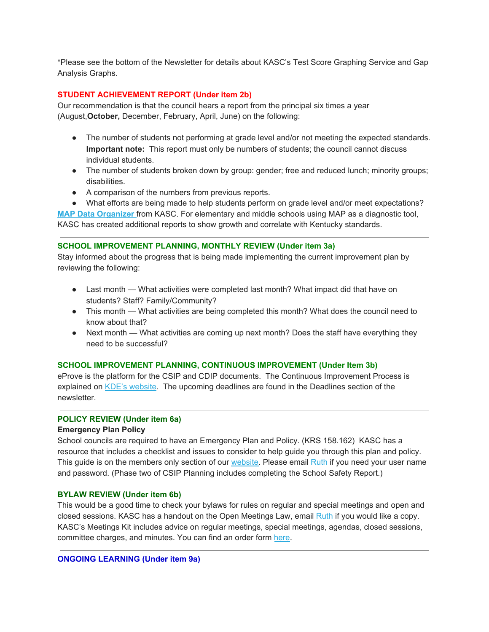\*Please see the bottom of the Newsletter for details about KASC's Test Score Graphing Service and Gap Analysis Graphs.

## **STUDENT ACHIEVEMENT REPORT (Under item 2b)**

Our recommendation is that the council hears a report from the principal six times a year (August,**October,** December, February, April, June) on the following:

- The number of students not performing at grade level and/or not meeting the expected standards. **Important note:** This report must only be numbers of students; the council cannot discuss individual students.
- The number of students broken down by group: gender; free and reduced lunch; minority groups; disabilities.
- A comparison of the numbers from previous reports.
- What efforts are being made to help students perform on grade level and/or meet expectations?

**MAP Data [Organizer](https://kasc.us1.list-manage.com/track/click?u=ac8f71031575e221281ae3fd2&id=f8857ca582&e=39b08842fa)** from KASC. For elementary and middle schools using MAP as a diagnostic tool, KASC has created additional reports to show growth and correlate with Kentucky standards.

#### **SCHOOL IMPROVEMENT PLANNING, MONTHLY REVIEW (Under item 3a)**

Stay informed about the progress that is being made implementing the current improvement plan by reviewing the following:

- Last month What activities were completed last month? What impact did that have on students? Staff? Family/Community?
- This month What activities are being completed this month? What does the council need to know about that?
- Next month What activities are coming up next month? Does the staff have everything they need to be successful?

#### **SCHOOL IMPROVEMENT PLANNING, CONTINUOUS IMPROVEMENT (Under Item 3b)**

eProve is the platform for the CSIP and CDIP documents. The Continuous Improvement Process is explained on KDE's [website.](https://kasc.us1.list-manage.com/track/click?u=ac8f71031575e221281ae3fd2&id=163ecf2a1e&e=39b08842fa) The upcoming deadlines are found in the Deadlines section of the newsletter.

## **POLICY REVIEW (Under item 6a)**

#### **Emergency Plan Policy**

School councils are required to have an Emergency Plan and Policy. (KRS 158.162) KASC has a resource that includes a checklist and issues to consider to help guide you through this plan and policy. This guide is on the members only section of our [website.](https://kasc.us1.list-manage.com/track/click?u=ac8f71031575e221281ae3fd2&id=ff6803d7e1&e=39b08842fa) Please email Ruth if you need your user name and password. (Phase two of CSIP Planning includes completing the School Safety Report.)

#### **BYLAW REVIEW (Under item 6b)**

This would be a good time to check your bylaws for rules on regular and special meetings and open and closed sessions. KASC has a handout on the Open Meetings Law, email Ruth if you would like a copy. KASC's Meetings Kit includes advice on regular meetings, special meetings, agendas, closed sessions, committee charges, and minutes. You can find an order form [here](https://kasc.us1.list-manage.com/track/click?u=ac8f71031575e221281ae3fd2&id=78a448b445&e=39b08842fa).